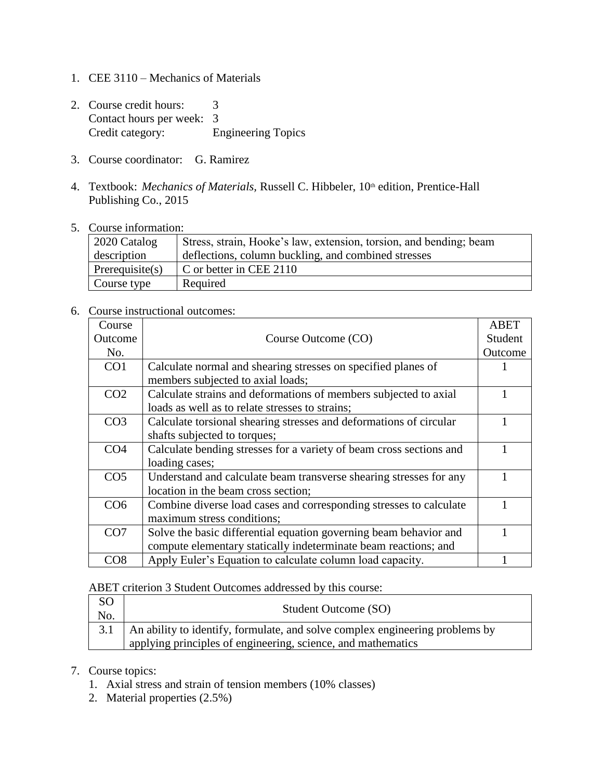- 1. CEE 3110 Mechanics of Materials
- 2. Course credit hours: 3 Contact hours per week: 3 Credit category: Engineering Topics
- 3. Course coordinator: G. Ramirez
- 4. Textbook: *Mechanics of Materials*, Russell C. Hibbeler, 10<sup>th</sup> edition, Prentice-Hall Publishing Co., 2015
- 5. Course information:

| 2020 Catalog       | Stress, strain, Hooke's law, extension, torsion, and bending; beam |
|--------------------|--------------------------------------------------------------------|
| description        | deflections, column buckling, and combined stresses                |
| Prerequisite $(s)$ | C or better in CEE 2110                                            |
| Course type        | Required                                                           |

6. Course instructional outcomes:

| Course          |                                                                     | ABET    |
|-----------------|---------------------------------------------------------------------|---------|
| Outcome         | Course Outcome (CO)                                                 | Student |
| No.             |                                                                     | Outcome |
| CO <sub>1</sub> | Calculate normal and shearing stresses on specified planes of       |         |
|                 | members subjected to axial loads;                                   |         |
| CO <sub>2</sub> | Calculate strains and deformations of members subjected to axial    |         |
|                 | loads as well as to relate stresses to strains;                     |         |
| CO <sub>3</sub> | Calculate torsional shearing stresses and deformations of circular  |         |
|                 | shafts subjected to torques;                                        |         |
| CO <sub>4</sub> | Calculate bending stresses for a variety of beam cross sections and |         |
|                 | loading cases;                                                      |         |
| CO <sub>5</sub> | Understand and calculate beam transverse shearing stresses for any  |         |
|                 | location in the beam cross section;                                 |         |
| CO <sub>6</sub> | Combine diverse load cases and corresponding stresses to calculate  |         |
|                 | maximum stress conditions;                                          |         |
| CO <sub>7</sub> | Solve the basic differential equation governing beam behavior and   |         |
|                 | compute elementary statically indeterminate beam reactions; and     |         |
| CO8             | Apply Euler's Equation to calculate column load capacity.           |         |

ABET criterion 3 Student Outcomes addressed by this course:

| <sub>SO</sub><br>No. | Student Outcome (SO)                                                                                                                               |
|----------------------|----------------------------------------------------------------------------------------------------------------------------------------------------|
|                      | 3.1   An ability to identify, formulate, and solve complex engineering problems by<br>applying principles of engineering, science, and mathematics |
|                      |                                                                                                                                                    |

## 7. Course topics:

- 1. Axial stress and strain of tension members (10% classes)
- 2. Material properties (2.5%)